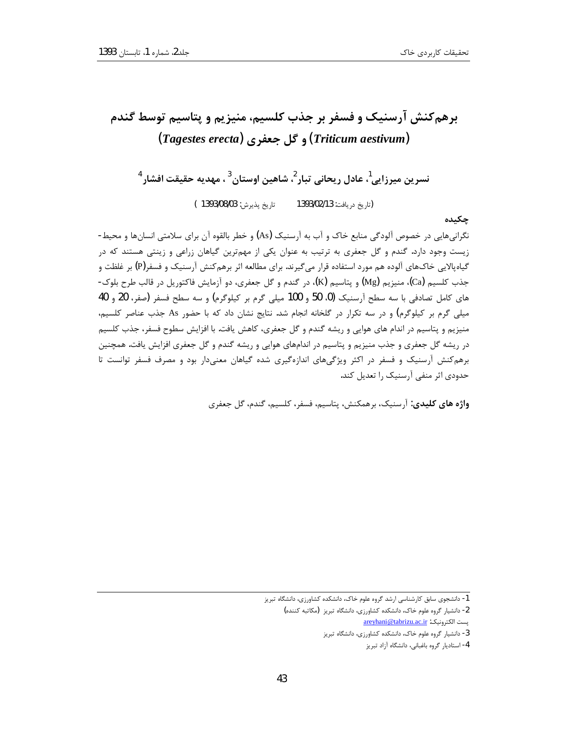# برهم کنش آرسنیک و فسفر بر جذب کلسیم، منیزیم و پتاسیم توسط گندم (Triticum aestivum) و گل جعفری (Tagestes erecta)

نسرين ميرزايي<sup>1</sup>، عادل ريحاني تبار<sup>2</sup>، شاهين اوستان<sup>3</sup>، مهديه حقيقت افشار<sup>4</sup> تاريخ پذيرش: 1393/08/03 ) (تا, يخ در يافت: 1393/02/13

چکیده

نگرانیهایی در خصوص آلودگی منابع خاک و آب به آرسنیک (As) و خطر بالقوه آن برای سلامتی انسانها و محیط-زیست وجود دارد. گندم و گل جعفری به ترتیب به عنوان یکی از مهمترین گیاهان زراعی و زینتی هستند که در گیاهپالایی خاکـهای آلوده هم مورد استفاده قرار میگیرند. برای مطالعه اثر برهمکنش آرسنیک و فسفر(P) بر غلظت و جذب كلسيم (Ca)، منيزيم (Mg) و پتاسيم (K)، در گندم و گل جعفري، دو آزمايش فاكتوريل در قالب طرح بلوک-های کامل تصادفی با سه سطح آرسنیک (0، 50 و 100 میلی گرم بر کیلوگرم) و سه سطح فسفر (صفر، 20 و 40 میلی گرم بر کیلوگرم) و در سه تکرار در گلخانه انجام شد. نتایج نشان داد که با حضور As جذب عناصر کلسیم، منیزیم و پتاسیم در اندام های هوایی و ریشه گندم و گل جعفری، کاهش یافت. با افزایش سطوح فسفر، جذب کلسیم در ریشه گل جعفری و جذب منیزیم و پتاسیم در اندامهای هوایی و ریشه گندم و گل جعفری افزایش یافت. همچنین برهم کنش آرسنیک و فسفر در اکثر ویژگیهای اندازهگیری شده گیاهان معنیدار بود و مصرف فسفر توانست تا حدودی اثر منفی آرسنیک را تعدیل کند.

واژه های کلیدی: آ<sub>ر</sub>سنیک، برهمکنش، پتاسیم، فسفر، کلسیم، گندم، گل جعفری

<sup>۔&</sup>lt;br>1- دانشجوی سابق کارشناسی ارشد گروه علوم خاک، دانشکده کشاورزی، دانشگاه تبریز

<sup>2-</sup> دانشیار گروه علوم خاک، دانشکده کشاورزی، دانشگاه تبریز (مکاتبه کننده)

areyhani@tabrizu.ac.ir بست الكترونيك:

<sup>3-</sup> دانشیار گروه علوم خاک، دانشکده کشاورزی، دانشگاه تبریز

<sup>4-</sup> استادیار گروه باغبانی، دانشگاه آزاد تبریز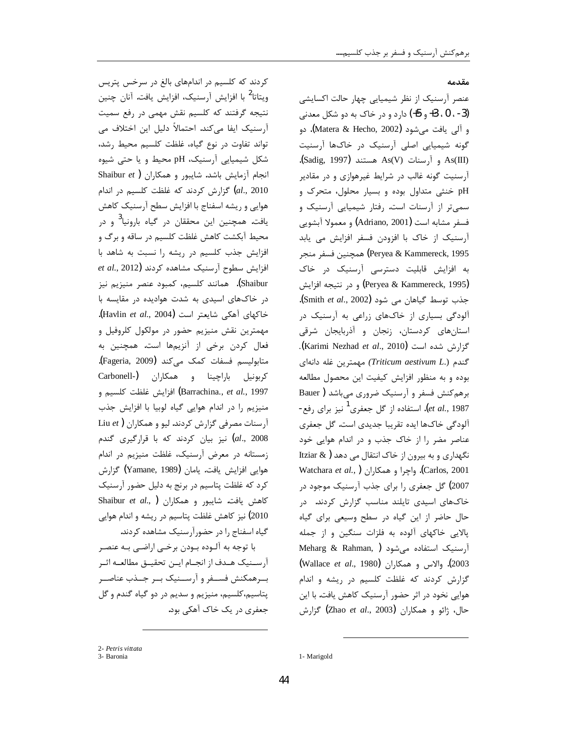#### مقدمه

عنصر آرسنیک از نظر شیمیایی چهار حالت اکسایشی (3- ، 0 ، 3+ و 5+) دارد و در خاک به دو شکل معدنی و آلي يافت مي شود (Matera & Hecho, 2002). دو گونه شیمیایی اصلی آرسنیک در خاکها آرسنیت As(III) و آرسنات As(V) هستند (Sadig, 1997). آرسنیت گونه غالب در شرایط غیرهوازی و در مقادیر pH خنثی متداول بوده و بسیار محلول، متحرک و سمی تر از آرسنات است. رفتار شیمیایی آرسنیک و فسفر مشابه است (Adriano, 2001) و معمولا آبشويي آرسنیک از خاک با افزودن فسفر افزایش می یابد Peryea & Kammereck, 1995) همچنین فسفر منجر به افزایش قابلیت دسترسی آرسنیک در خاک (Peryea & Kammereck, 1995) و در نتيجه افزايش جذب توسط گیاهان می شود (Smith et al., 2002). آلودگی بسیاری از خاکهای زراعی به آرسنیک در استانهای کردستان، زنجان و آذربایجان شرقی گزارش شده است (Karimi Nezhad et al., 2010). گندم (.Triticum aestivum L) مهمترین غله دانهای بوده و به منظور افزایش کیفیت این محصول مطالعه برهم كنش فسفر و آرسنيك ضرورى مى باشد ( Bauer et al., 1987). استفاده از گل جعفری<sup>1</sup> نیز برای رفع-آلودگی خاکها ایده تقریبا جدیدی است. گل جعفری عناصر مضر را از خاک جذب و در اندام هوایی خود نگهداری و به بیرون از خاک انتقال می دهد ( Itziar & Watchara et al., ) واچرا و همكاران ( Watchara et al., 2007) گل جعفری را برای جذب آرسنیک موجود در خاکهای اسیدی تایلند مناسب گزارش کردند. در حال حاضر از این گیاه در سطح وسیعی برای گیاه یالایی خاکهای آلوده به فلزات سنگین و از جمله Meharg & Rahman, ) أرسنيك استفاده مى شود 2003). والاس و همكاران (Wallace et al., 1980) گزارش کردند که غلظت کلسیم در ریشه و اندام هوایی نخود در اثر حضور آرسنیک کاهش یافت. با این حال، ژائو و همکاران (Zhao *et al.*, 2003) گزارش

کردند که کلسیم در اندامهای بالغ در سرخس پتریس ویتاتا<sup>2</sup> با افزایش آرسنیک، افزایش یافت. آنان چنین نتیجه گرفتند که کلسیم نقش مهمی در رفع سمیت آرسنیک ایفا میکند. احتمالاً دلیل این اختلاف می تواند تفاوت در نوع گیاه، غلظت کلسیم محیط رشد، شکل شیمیایی آرسنیک، pH محیط و یا حتی شیوه Shaibur et) انجام آزمایش باشد. شایبور و همکاران گزارش کردند که غلظت کلسیم در اندام (al., 2010 هوایی و ریشه اسفناج با افزایش سطح آرسنیک کاهش یافت. همچنین این محققان در گیاه بارونیا<sup>3</sup> و در محیط آبکشت کاهش غلظت کلسیم در ساقه و برگ و افزایش جذب کلسیم در ریشه را نسبت به شاهد با  $et$  al., 2012) أفزايش سطوح آرسنيك مشاهده كردند Shaibur). همانند کلسیم، کمبود عنصر منیزیم نیز در خاکهای اسیدی به شدت هوادیده در مقایسه با خاكهاى آهكى شايعتر است (Havlin et al., 2004). مهمترین نقش منیزیم حضور در مولکول کلروفیل و فعال کردن برخی از آنزیمها است. همچنین به متابوليسم فسفات كمك ميكند (Fageria, 2009). كربونيل باراچينا و همكاران (Carbonell-Barrachina., et al., 1997) افزايش غلظت كلسيم و منیزیم را در اندام هوایی گیاه لوبیا با افزایش جذب آرسنات مصرفی گزارش کردند. لیو و همکاران (Liu et al., 2008) نیز بیان کردند که با قرارگیری گندم زمستانه در معرض آرسنیک، غلظت منیزیم در اندام هوايي افزايش يافت. يامان (Yamane, 1989) گزارش كرد كه غلظت پتاسيم در برنج به دليل حضور آرسنيك Shaibur et al., ) كاهش يافت. شايبور و همكاران 2010) نیز کاهش غلظت پتاسیم در ریشه و اندام هوایی گیاه اسفناج را در حضورآرسنیک مشاهده کردند.

با توجه به آلـوده بـودن برخـی اراضـی بـه عنصـر آرسـنيک هـدف از انجـام ايـن تحقيـق مطالعـه اثـر بــرهمكنش فســفر و آرســنيک بــر جــذب عناصــر پتاسیم،کلسیم، منیزیم و سدیم در دو گیاه گندم و گل جعفري در يک خاک آهکي بود.

<sup>2-</sup> Petris vittata

<sup>3-</sup> Baronia

<sup>1-</sup> Marigold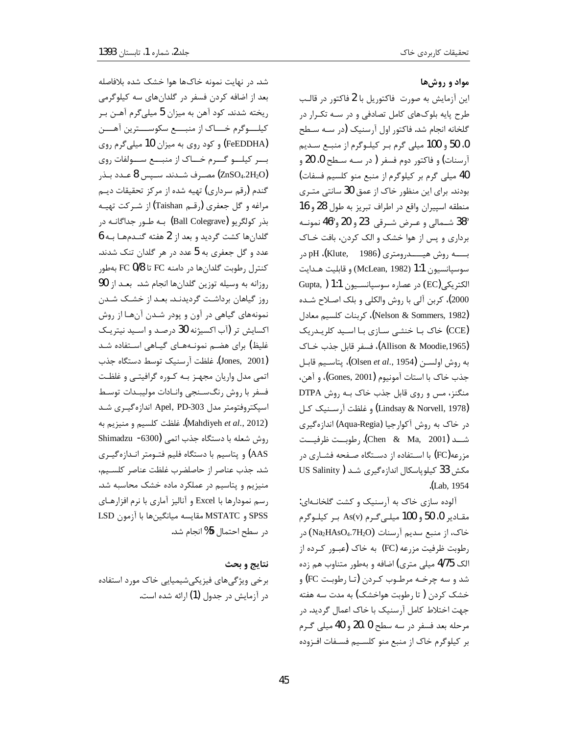### مواد و روش ها

این آزمایش به صورت ِفاکتوریل با 2 فاکتور در قالب طرح پایه بلوکهای کامل تصادفی و در سـه تکـرار در گلخانه انجام شد. فاکتور اول آرسنیک (در سـه سـطح 0، 50 و 100 میلی گرم بر کیلوگرم از منبع سدیم آرسنات) و فاکتور دوم فسفر ( در سـه سـطح 0، 20 و 40 میلی گرم بر کیلوگرم از منبع منو کلسیم فسفات) بودند. برای این منظور خاک از عمق 30 سانتی متـری منطقه اسپیران واقع در اطراف تبریز به طول 28 و 16 38° شــمالي و عـرض شــرقي 23 و 20 و°46 نمونــه برداری و پس از هوا خشک و الک کردن، بافت خـاک بــــه روش هيــــدرومتري (1986 - Klute, pH)، pH سوسيانسيون 1:1 (McLean, 1982) و قابليت هـدايت الكتريكي (EC) در عصاره سوسپانسيون 1:1 ( Gupta, 2000)، كربن آلي با روش والكلي و بلك اصـلاح شـده (Nelson & Sommers, 1982)، كربنات كلسيم معادل (CCE) خاک بـا خنثـی سـازی بـا اسـید کلریـدریک (Allison & Moodie,1965)، فسفر قابل جذب خـاک به روش اولســن (Olsen *et al*., 1954**)**، پتاســيم قابــل جذب خاك با استات آمونيوم (Gones, 2001**)**، و آهن، منگنز، مس و روی قابل جذب خاک بـه روش DTPA (Lindsay & Norvell, 1978) و غلظت آرسـنيک کـل در خاک به روش آکوارجیا (Aqua-Regia) اندازهگیری شـــد (Chen & Ma, 2001). رطوبــت ظرفيــت مزرعه(FC) با استفاده از دستگاه صـفحه فشـاری در مکش 33 کیلوپاسکال اندازهگیری شد ( US Salinity (Lab, 1954).

آلوده سازی خاک به آرسنیک و کشت گلخانـهای: مقـادير 0، 50 و 100 ميلـي گـرم (As(v بـر كيلـوگرم خاک، از منبع سدیم آرسنات (Na2HAsO4.7H2O) در رطوبت ظرفیت مزرعه (FC) به خاک (عبـور کـرده از الک 4/75 میلی متری) اضافه و بهطور متناوب هم زده شد و سه چرخـه مرطـوب کـردن (تـا رطوبـت FC) و خشک کردن ( تا رطوبت هواخشک) به مدت سه هفته جهت اختلاط كامل آرسنيك با خاك اعمال گرديد. در مرحله بعد فسفر در سه سطح 0 ،20 و 40 ميلي گرم بر كيلوگرم خاك از منبع منو كلسيم فسـفات افـزوده

شد. در نهایت نمونه خاکها هوا خشک شده بلافاصله بعد از اضافه کردن فسفر در گلدانهای سه کیلوگرمی ريخته شدند. كود آهن به ميزان 5 ميلي¢رم آهـن بـر كيلــوگرم خـــاك از منبـــع سكوســـترين آهـــن (FeEDDHA) و کود روی به میزان 10 میلیگرم روی بسر کیلسو گسرم خساک از منبسع سسولفات روی مصـرف شــدند. ســپس 8 عــدد بــذر (ZnSO4.2H2O) گندم (رقم سرداری) تهیه شده از مرکز تحقیقات دیـم مراغه و گل جعفري (رقـم Taishan) از شـركت تهيـه بذر كولگريو (Ball Colegrave) بـه طـور جداگانـه در گلدانها کشت گردید و بعد از 2 هفته گنـدمهـا بـه 6 عدد و گل جعفری به 5 عدد در هر گلدان تنک شدند. كنترل رطوبت گلدانها در دامنه FC تا FC 0/8 بهطور روزانه به وسیله توزین گلدانها انجام شد. بعد از 90 روز گیاهان برداشت گردیدنـد. بعـد از خشـک شـدن نمونههای گیاهی در آون و پودر شدن آنها از روش اکسایش تر (آب اکسیژنه 30 درصد و اسـید نیتریـک غلیظ) برای هضم نمونـههـای گیـاهی اسـتفاده شـد (Jones, 2001). غلظت آرسنيک توسط دستگاه جذب اتمی مدل واریان مجهـز بـه كـوره گرافيتـي و غلظـت فسفر با روش رنگسنجي وانادات موليبدات توسط اسپکتروفتومتر مدل Apel, PD-303 اندازهگیـری شـد (Mahdiyeh et al., 2012). غلظت كلسيم و منيزيم به روش شعله با دستگاه جذب اتمی (5300- Shimadzu AAS) و پتاسیم با دستگاه فلیم فتـومتر انـدازهگیـری شد. جذب عناصر از حاصلضرب غلظت عناصر كلسيم، منیزیم و پتاسیم در عملکرد ماده خشک محاسبه شد. رسم نمودارها با Excel و آناليز آماري با نرم افزارهـاي SPSS و MSTATC مقايسه ميانگينها با آزمون LSD در سطح احتمال 5% انجام شد.

#### نتايج و بحث

برخی ویژگیهای فیزیکیشیمیایی خاک مورد استفاده در آزمایش در جدول (1) ارائه شده است.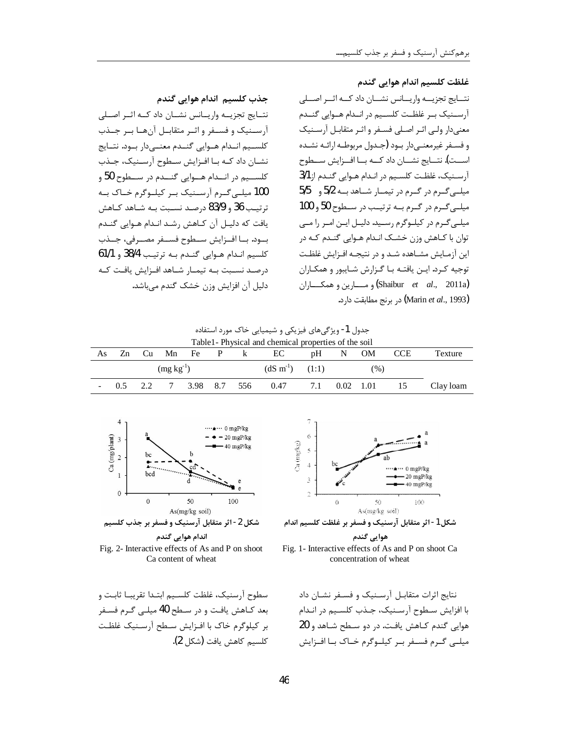غلظت کلسیم اندام هوایی گندم

نتسايج تجزيسه واريسانس نشسان داد كسه اثسر اصسلي آرسـنيک بـر غلظـت کلسـيم در انــدام هــوايي گنــدم معنیدار ولی اثـر اصـلی فسـفر و اثـر متقابـل آرسـنیک و فسـفر غيرمعنـي<ار بـود (جـدول مربوطـه ارائـه نشـده اســت). نتــايج نشــان داد كــه بــا افــزايش ســطوح آرسنيك، غلظت كلسيم در اندام هوايي گندم از 3/1 میلیی گرم در گرم در تیمار شاهد بـه 5/2 و 5/5 میلـی گـرم در گـرم بـه ترتیـب در سـطوح 50 و 100 میلے گـرم در کیلـوگرم رسـید. دلیـل ایـن امـر را مـى توان با كـاهش وزن خشـك انـدام هـوايي گنـدم كـه در این آزمـایش مشـاهده شـد و در نتیجـه افـزایش غلظـت توجيه كرد. ايـن يافتـه بـا گـزارش شـايبور و همكـاران **(Shaibur** *et al.*, 2011a) و مسارين و همكساران .<br>(Marin *et al*., 1993) در برنج مطابقت دارد.

جدول 1- ویژگیهای فیزیکی و شیمیایی خاک مورد استفاده

| Table 1 - Physical and chemical properties of the soil |                |  |  |                        |  |  |                               |  |         |  |            |           |
|--------------------------------------------------------|----------------|--|--|------------------------|--|--|-------------------------------|--|---------|--|------------|-----------|
| As.                                                    | Zn             |  |  |                        |  |  | $Cu$ Mn Fe $P$ k EC           |  | pH N OM |  | <b>CCE</b> | Texture   |
|                                                        | $(mg kg^{-1})$ |  |  |                        |  |  | $(dS \text{ m}^{-1})$ $(1:1)$ |  | (96)    |  |            |           |
|                                                        |                |  |  | 0.5 2.2 7 3.98 8.7 556 |  |  | $0.47$ 7.1 $0.02$ 1.01 15     |  |         |  |            | Clay loam |



جذب كلسيم اندام هوايي گندم

دليل آن افزايش وزن خشک گندم مي باشد.

نتــايج تجزيـــه واريـــانس نشـــان داد كـــه اثــر اصــلى آرسـنيک و فســفر و اثــر متقابــل آنهــا بــر جــذب كلسـيم انــدام هــوايي گنــدم معنــيcار بــود. نتــايج نشـان داد كـه بـا افـزايش سـطوح آرسـنيك، جـذب کلســيم در انــدام هــوايي گنــدم در ســطوح 50 و 100 میلے گرم آرسنیک بے کیلوگرم خاک بـه  $z$ ترتيب 36 و 83/9 درصد نسـبت بـه شـاهد كـاهش يافت كه دليـل آن كـاهش رشـد انـدام هـوايي گنـدم بـود. بــا افــزايش ســطوح فســفر مصــرفي، جــذب كلسيم اندام هوايي گندم بـه ترتيب 38/4 و 61/1 درصـد نسـبت بــه تيمــار شــاهد افــزايش يافـت كــه

Fig. 2- Interactive effects of As and P on shoot Ca content of wheat

سطوح آرسنیک، غلظت کلسیم ابتـدا تقریبـا ثابـت و بعد كـاهش يافـت و در سـطح 40 ميلـي گـرم فسـفر بر كيلوگرم خاك با افـزايش سـطح آرسـنيک غلظـت كلسيم كاهش يافت (شكل 2).



شكل 1- اثر متقابل آرسنيک و فسفر بر غلظت كلسيم اندام





نتایج اثرات متقابـل آرسـنیک و فسـفر نشـان داد با افزایش سطوح آرسنیک، جـذب کلسـیم در انـدام هوایی گندم کـاهش یافـت. در دو سـطح شـاهد و 20 میلے گـرم فسـفر بـر کیلـوگرم خـاک بــا افــزایش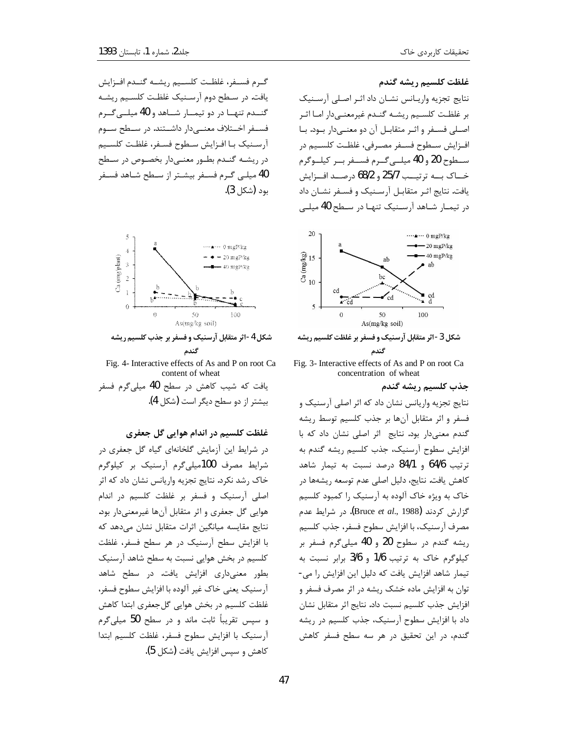گــرم فســفر، غلظــت كلســيم ريشــه گنــدم افــزايش یافت. در سطح دوم آرسنیک غلظت کلسیم ریشـه گنــدم تنهــا در دو تيمــار شــاهد و 40 ميلــى گــرم فســفر اخــتلاف معنـــی‹ار داشــتند. در ســطح ســوم آرسـنيک بـا افـزايش سـطوح فسـفر، غلظـت كلسـيم در ریشـه گنـدم بطـور معنـیدار بخصـوص در سـطح 40 میلے گرم فسفر بیشتر از سطح شاهد فسفر بود (شكل 3).



شکل 4-اثر متقابل آرسنیک و فسفر بر جذب کلسیم ریشه گندم

Fig. 4- Interactive effects of As and P on root Ca content of wheat یافت که شیب کاهش در سطح 40 میلیگرم فسفر بيشتر از دو سطح ديگر است (شكل 4).

غلظت کلسیم در اندام هوایی گل جعفری

در شرایط این آزمایش گلخانهای گیاه گل جعفری در شرایط مصرف 100میلیگرم آرسنیک بر کیلوگرم خاک رشد نکرد. نتایج تجزیه واریانس نشان داد که اثر اصلی آرسنیک و فسفر بر غلظت کلسیم در اندام هوایی گل جعفری و اثر متقابل آنها غیرمعنیدار بود. نتایج مقایسه میانگین اثرات متقابل نشان میدهد که با افزایش سطح آرسنیک در هر سطح فسفر، غلظت کلسیم در بخش هوایی نسبت به سطح شاهد آرسنیک بطور معنیداری افزایش یافت. در سطح شاهد آرسنيک يعني خاک غير آلوده با افزايش سطوح فسفر، غلظت کلسیم در بخش هوایی گل جعفری ابتدا کاهش و سپس تقریباً ثابت ماند و در سطح 50 میلی گرم آرسنيك با افزايش سطوح فسفر، غلظت كلسيم ابتدا كاهش و سپس افزايش يافت (شكل 5).

## غلظت كلسيم ريشه گندم

نتايج تجزيه واريـانس نشـان داد اثـر اصـلى آرسـنيک بر غلظت كلسيم ريشه كندم غيرمعنىدار اما اثر اصـلی فسـفر و اثـر متقابـل آن دو معنـیدار بـود. بـا افـزايش سـطوح فسـفر مصـرفي، غلظـت كلسـيم در سطوح 20 و 40 ميليي گرم فسفر بر كيلوگرم خـاک بــه ترتيــب 25/7 و 68/2 درصــد افــزايش یافت. نتایج اثـر متقابـل آرسـنیک و فسـفر نشـان داد در تیمـار شـاهد آرسـنیک تنهـا در سـطح 40 میلــی



گندم Fig. 3- Interactive effects of As and P on root Ca. concentration of wheat

جذب كلسيم ريشه گندم

نتایج تجزیه واریانس نشان داد که اثر اصلی آرسنیک و فسفر و اثر متقابل آنها بر جذب كلسيم توسط ريشه گندم معنیدار بود. نتایج اثر اصلی نشان داد که با افزایش سطوح آرسنیک، جذب کلسیم ریشه گندم به ترتيب 64/6 و 84/1 درصد نسبت به تيمار شاهد كاهش يافت. نتايج، دليل اصلي عدم توسعه ريشهها در خاک به ویژه خاک آلوده به آرسنیک را کمبود کلسیم گزارش کردند (Bruce et al., 1988). در شرایط عدم مصرف آرسنيک، با افزايش سطوح فسفر، جذب كلسيم ریشه گندم در سطوح 20 و 40 میلیگرم فسفر بر كيلوگرم خاك به ترتيب 1/6 و 3/6 برابر نسبت به تیمار شاهد افزایش یافت که دلیل این افزایش را می-توان به افزایش ماده خشک ریشه در اثر مصرف فسفر و افزايش جذب كلسيم نسبت داد. نتايج اثر متقابل نشان داد با افزایش سطوح آرسنیک، جذب کلسیم در ریشه گندم، در این تحقیق در هر سه سطح فسفر کاهش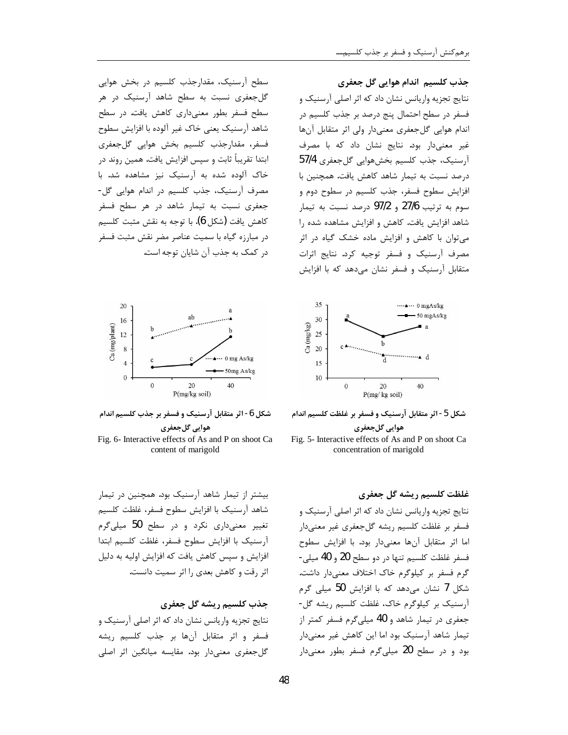سطح آرسنیک، مقدارجذب کلسیم در بخش هوایی گل جعفری نسبت به سطح شاهد آرسنیک در هر سطح فسفر بطور معنی داری کاهش یافت. در سطح شاهد آرسنیک یعنی خاک غیر آلوده با افزایش سطوح فسفر، مقدارجذب كلسيم بخش هوايي گلجعفري ابتدا تقریباً ثابت و سپس افزایش یافت. همین روند در خاک آلوده شده به آرسنیک نیز مشاهده شد. با مصرف آرسنیک، جذب کلسیم در اندام هوایی گل-جعفری نسبت به تیمار شاهد در هر سطح فسفر كاهش يافت (شكل 6). با توجه به نقش مثبت كلسيم در مبارزه گیاه با سمیت عناصر مضر نقش مثبت فسفر د, کمک به جذب آن شایان توجه است.



شکل 6- اثر متقابل آرسنیک و فسفر بر جذب کلسیم اندام هوايي گلجعفري



بیشتر از تیمار شاهد آرسنیک بود. همچنین در تیمار شاهد آرسنيك با افزايش سطوح فسفر، غلظت كلسيم تغییر معنیداری نکرد و در سطح 50 میلیگرم آرسنيك با افزايش سطوح فسفر، غلظت كلسيم ابتدا افزایش و سپس کاهش یافت که افزایش اولیه به دلیل اثر رقت و کاهش بعدی را اثر سمیت دانست.

جذب كلسيم ريشه گل جعفري نتايج تجزيه واريانس نشان داد كه اثر اصلي آرسنيک و فسفر واثر متقابل آنها بر جذب كلسيم ريشه گل جعفری معنیدار بود. مقایسه میانگین اثر اصلی

جذب کلسیم اندام هوایی گل جعفری نتایج تجزیه واریانس نشان داد که اثر اصلی آرسنیک و فسفر در سطح احتمال پنج درصد بر جذب کلسیم در اندام هوایی گل جعفری معنیدار ولی اثر متقابل آنها غیر معنیدار بود. نتایج نشان داد که با مصرف آرسنيک، جذب کلسيم بخشهوايي گلجعفري 57/4 درصد نسبت به تیمار شاهد کاهش یافت. همچنین با افزایش سطوح فسفر، جذب کلسیم در سطوح دوم و سوم به ترتیب 27/6 و 97/2 درصد نسبت به تیمار شاهد افزایش یافت. کاهش و افزایش مشاهده شده را می توان با کاهش و افزایش ماده خشک گیاه در اثر مصرف آرسنیک و فسفر توجیه کرد. نتایج اثرات متقابل آرسنیک و فسفر نشان می دهد که با افزایش



شكل 5- اثر متقابل آرسنيك و فسفر بر غلظت كلسيم اندام هوايي گلجعفري

Fig. 5- Interactive effects of As and P on shoot Ca concentration of marigold

غلظت كلسيم ريشه گل جعفري نتایج تجزیه واریانس نشان داد که اثر اصلی آرسنیک و فسفر بر غلظت كلسيم ريشه گلجعفري غير معنىدار اما اثر متقابل آنها معنى دار بود. با افزايش سطوح فسفر غلظت كلسيم تنها در دو سطح 20 و 40 ميلي-گرم فسفر بر کیلوگرم خاک اختلاف معنیدار داشت. شکل 7 نشان می،دهد که با افزایش 50 میلی گرم آرسنیک بر کیلوگرم خاک، غلظت کلسیم ریشه گل-جعفری در تیمار شاهد و 40 میلی گرم فسفر کمتر از تیمار شاهد آرسنیک بود اما این کاهش غیر معنیدار بود و در سطح 20 میلیگرم فسفر بطور معنیدار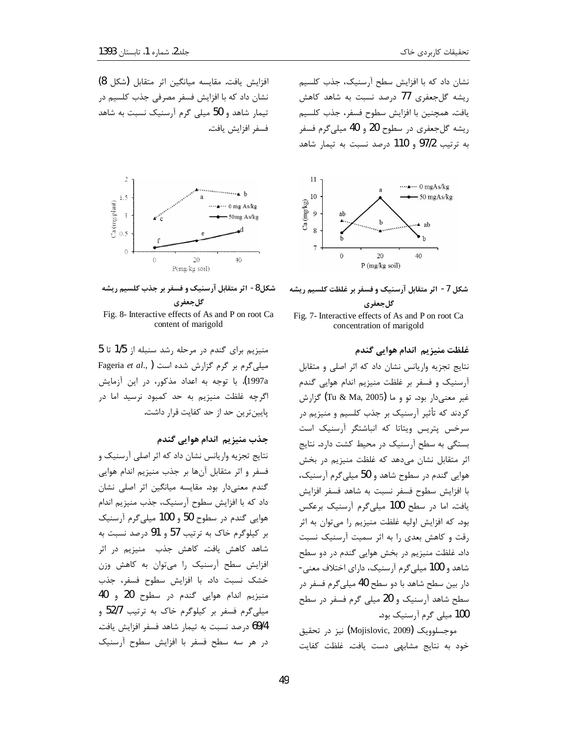نشان داد که با افزایش سطح آرسنیک، جذب کلسیم ریشه گل جعفری 77 درصد نسبت به شاهد کاهش يافت. همچنين با افزايش سطوح فسفر، جذب كلسيم ریشه گلجعفری در سطوح 20 و 40 میلی گرم فسفر به ترتیب 97/2 و 110 درصد نسبت به تیمار شاهد



شكل 7- اثر متقابل آرسنيك و فسفر بر غلظت كلسيم ريشه گلجعفری

Fig. 7- Interactive effects of As and P on root Ca concentration of marigold

غلظت منيزيم اندام هوايي گندم

نتایج تجزیه واریانس نشان داد که اثر اصلی و متقابل آرسنیک و فسفر بر غلظت منیزیم اندام هوایی گندم غیر معنیدار بود. تو و ما (Tu & Ma, 2005) گزارش کردند که تأثیر آرسنیک بر جذب کلسیم و منیزیم در سرخس پتریس ویتاتا که انباشتگر آرسنیک است بستگی به سطح آرسنیک در محیط کشت دارد. نتایج اثر متقابل نشان میدهد که غلظت منیزیم در بخش هوایی گندم در سطوح شاهد و 50 میلیگرم آرسنیک، با افزایش سطوح فسفر نسبت به شاهد فسفر افزایش یافت. اما در سطح 100 میلی گرم آرسنیک برعکس بود. که افزایش اولیه غلظت منیزیم را میتوان به اثر رقت و کاهش بعدی را به اثر سمیت آرسنیک نسبت داد. غلظت منیزیم در بخش هوایی گندم در دو سطح شاهد و 100 میلی گرم آرسنیک، دارای اختلاف معنی-دار بین سطح شاهد با دو سطح 40 میلیگرم فسفر در سطح شاهد آرسنیک و 20 میلی گرم فسفر در سطح 100 میلی گرم آرسنیک بود.

موجسلوویک (Mojislovic, 2009) نیز در تحقیق خود به نتايج مشابهي دست يافت. غلظت كفايت

افزايش يافت. مقايسه ميانگين اثر متقابل (شكل 8) نشان داد که با افزایش فسفر مصرفی جذب کلسیم در تیمار شاهد و 50 میلی گرم آرسنیک نسبت به شاهد فسفر افزايش يافت.



شکل8- اثر متقابل آرسنیک و فسفر بر جذب کلسیم ریشه گل جعفر ی

Fig. 8- Interactive effects of As and P on root Ca content of marigold

منیزیم برای گندم در مرحله رشد سنبله از 1/5 تا 5 Fageria et al., ) ست Fageria et al., ) .<br>1997a). با توجه به اعداد مذکور، در این آزمایش اگرچه غلظت منیزیم به حد کمبود نرسید اما در پایینترین حد از حد کفایت قرار داشت.

جذب منيزيم اندام هوايي گندم

نتايج تجزيه واريانس نشان داد كه اثر اصلى آرسنيك و فسفر واثر متقابل آنها بر جذب منيزيم اندام هوايي گندم معنیدار بود. مقایسه میانگین اثر اصلی نشان داد که با افزایش سطوح آرسنیک، جذب منیزیم اندام هوایی گندم در سطوح 50 و 100 میلی گرم آرسنیک بر کیلوگرم خاک به ترتیب 57 و 91 درصد نسبت به شاهد کاهش یافت. کاهش جذب منیزیم در اثر افزایش سطح آرسنیک را میتوان به کاهش وزن خشک نسبت داد. با افزایش سطوح فسفر، جذب منيزيم اندام هوايي گندم در سطوح 20 و 40 میلی گرم فسفر بر کیلوگرم خاک به ترتیب 52/7 و 69/4 درصد نسبت به تيمار شاهد فسفر افزايش يافت. در هر سه سطح فسفر با افزایش سطوح آرسنیک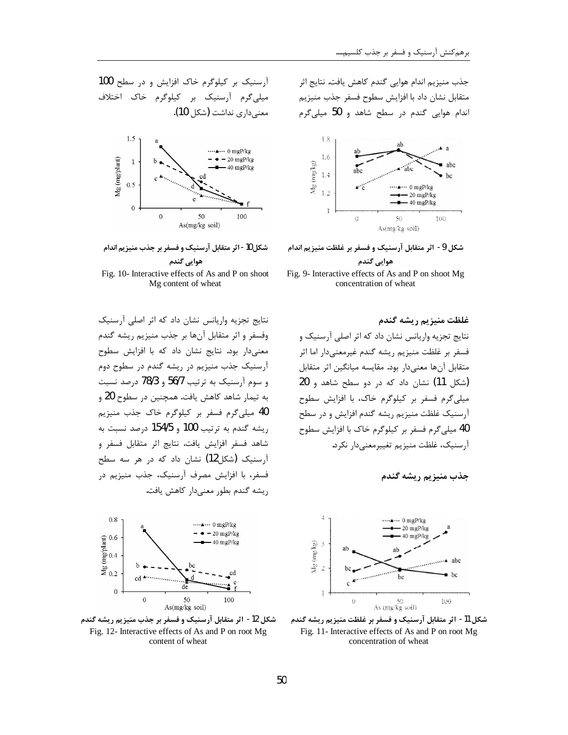جذب منيزيم اندام هوايي گندم كاهش يافت. نتايج اثر متقابل نشان داد با افزایش سطوح فسفر جذب منیزیم اندام هوایی گندم در سطح شاهد و 50 میلی گرم



شكل 9- اثر متقابل آرسنيک و فسفر بر غلظت منيزيم اندام

## هوایي گندم

Fig. 9- Interactive effects of As and P on shoot Mg concentration of wheat

غلظت منیزیم ریشه گندم

نتایج تجزیه واریانس نشان داد که اثر اصلی آرسنیک و فسفر بر غلظت منيزيم ريشه گندم غيرمعنىدار اما اثر متقابل آنها معنىدار بود. مقايسه ميانگين اثر متقابل (شكل 11) نشان داد كه در دو سطح شاهد و 20 میلی گرم فسفر بر کیلوگرم خاک، با افزایش سطوح آرسنیک غلظت منیزیم ریشه گندم افزایش و در سطح 40 میلی گرم فسفر بر کیلوگرم خاک با افزایش سطوح آرسنیک، غلظت منیزیم تغییرمعنی دار نکرد.





شكل 11- اثر متقابل آرسنيک و فسفر بر غلظت منيزيم ريشه گندم Fig. 11- Interactive effects of As and P on root Mg concentration of wheat

 $100$  آرسنیک بر کیلوگرم خاک افزایش و در سطح میلی گرم آرسنیک بر کیلوگرم خاک اختلاف معنى دارى نداشت (شكل 10).





Fig. 10- Interactive effects of As and P on shoot Mg content of wheat

نتایج تجزیه واریانس نشان داد که اثر اصلی آرسنیک وفسفر و اثر متقابل آنها بر جذب منیزیم ریشه گندم معنیدار بود. نتایج نشان داد که با افزایش سطوح آرسنیک جذب منیزیم در ریشه گندم در سطوح دوم  $_6$ و سوم آرسنیک به ترتیب 56/7 و 78/3 درصد نسبت به تیمار شاهد کاهش یافت. همچنین در سطوح 20 و 40 میلی گرم فسفر بر کیلوگرم خاک جذب منیزیم ریشه گندم به ترتیب 100 و 154/5 درصد نسبت به شاهد فسفر افزايش يافت. نتايج أثر متقابل فسفر و آ, سنیک (شکل12) نشان داد که در هر سه سطح فسفر، با افزایش مصرف آرسنیک، جذب منیزیم در , یشه گندم بطور معنیدار کاهش یافت.



شکل 12- اثر متقابل آرسنیک و فسفر بر جذب منیزیم ریشه گندم Fig. 12- Interactive effects of As and P on root Mg content of wheat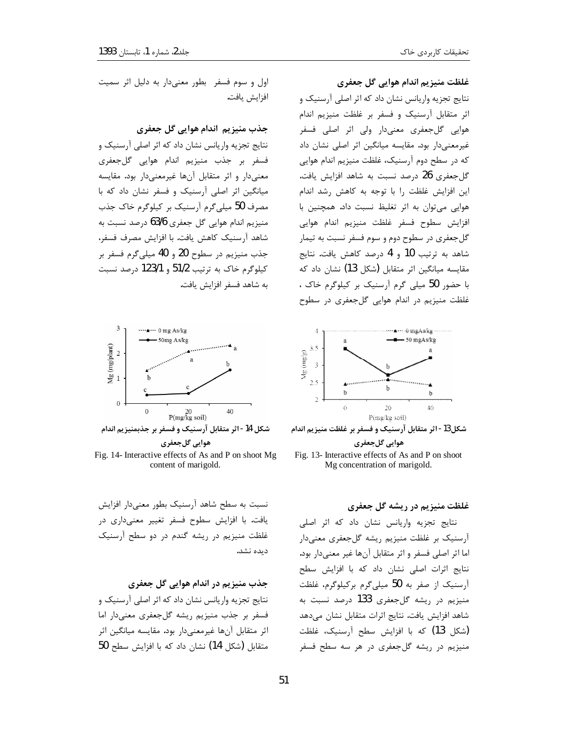### غلظت منیزیم اندام هوایی گل جعفری

نتایج تجزیه واریانس نشان داد که اثر اصلی آرسنیک و اثر متقابل آرسنيک و فسفر بر غلظت منيزيم اندام هوایی گلجعفری معنیدار ولی اثر اصلی فسفر غیرمعنیدار بود. مقایسه میانگین اثر اصلی نشان داد که در سطح دوم آرسنیک، غلظت منیزیم اندام هوایی گل جعفری 26 درصد نسبت به شاهد افزایش یافت. این افزایش غلظت را با توجه به کاهش رشد اندام هوایی می توان به اثر تغلیظ نسبت داد. همچنین با افزايش سطوح فسفر غلظت منيزيم اندام هوايي گل جعفری در سطوح دوم و سوم فسفر نسبت به تیمار شاهد به ترتیب 10 و 4 درصد کاهش یافت. نتایج مقایسه میانگین اثر متقابل (شکل 13) نشان داد که با حضور 50 میلی گرم آرسنیک بر کیلوگرم خاک ، غلظت منیزیم در اندام هوایی گلجعفری در سطوح



شکل13- اثر متقابل آرسنیک و فسفر بر غلظت منیزیم اندام هوايي گلجعفري

Fig. 13- Interactive effects of As and P on shoot Mg concentration of marigold.

## غلظت منیزیم در ریشه گل جعفری

نتايج تجزيه واريانس نشان داد كه اثر اصلى آرسنیک بر غلظت منیزیم ریشه گلجعفری معنیدار اما اثر اصلی فسفر و اثر متقابل آنها غیر معنیدار بود. نتایج اثرات اصلی نشان داد که با افزایش سطح آرسنیک از صفر به 50 میلی گرم برکیلوگرم، غلظت منیزیم در ریشه گلجعفری 133 درصد نسبت به شاهد افزایش یافت. نتایج اثرات متقابل نشان میدهد (شكل 13) كه با افزايش سطح آرسنيک، غلظت منیزیم در ریشه گلجعفری در هر سه سطح فسفر

اول و سوم فسفر بطور معنیدار به دلیل اثر سمیت افزايش يافت.

جذب منيزيم اندام هوايي گل جعفري

نتایج تجزیه واریانس نشان داد که اثر اصلی آرسنیک و فسفر بر جذب منيزيم اندام هوايي گلجعفري معنیدار و اثر متقابل آنها غیرمعنیدار بود. مقایسه میانگین اثر اصلی آرسنیک و فسفر نشان داد که با مصرف 50 میلی گرم آرسنیک بر کیلوگرم خاک جذب منیزیم اندام هوایی گل جعفری 63/6 درصد نسبت به شاهد آرسنیک کاهش یافت. با افزایش مصرف فسفر، جذب منيزيم در سطوح 20 و 40 ميلي گرم فسفر بر كيلوگرم خاک به ترتيب 51/2 و 123/1 درصد نسبت به شاهد فسفر افزايش يافت.



هوايي گلجعفري Fig. 14- Interactive effects of As and P on shoot Mg content of marigold.

نسبت به سطح شاهد آرسنیک بطور معنیدار افزایش يافت. با افزايش سطوح فسفر تغيير معنى دارى در غلظت منیزیم در ریشه گندم در دو سطح آرسنیک ديده نشد.

جذب منیزیم در اندام هوایی گل جعفری نتایج تجزیه واریانس نشان داد که اثر اصلی آرسنیک و فسفر بر جذب منیزیم ریشه گلجعفری معنیدار اما اثر متقابل آنها غیرمعنیدار بود. مقایسه میانگین اثر متقابل (شكل 14) نشان داد كه با افزايش سطح 50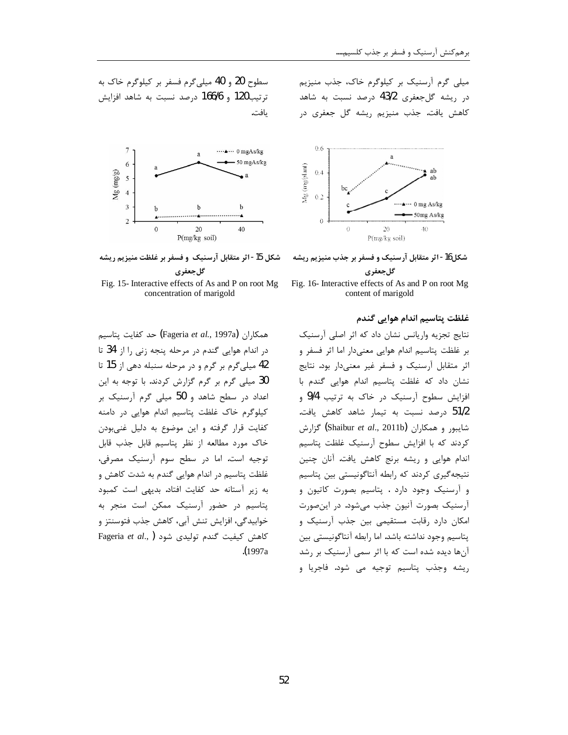میلی گرم آرسنیک بر کیلوگرم خاک، جذب منیزیم در ریشه گل جعفری 43/2 درصد نسبت به شاهد كاهش يافت. جذب منيزيم ريشه گل جعفري د<sub>ر</sub>



شکل16- اثر متقابل آرسنیک و فسفر بر جذب منیزیم ریشه گلجعفری



غلظت پتاسیم اندام هوایی گندم

نتایج تجزیه واریانس نشان داد که اثر اصلی آرسنیک بر غلظت پتاسیم اندام هوایی معنیدار اما اثر فسفر و اثر متقابل آرسنیک و فسفر غیر معنیدار بود. نتایج نشان داد که غلظت پتاسیم اندام هوایی گندم با افزایش سطوح آرسنیک در خاک به ترتیب 9/4 و 51/2 درصد نسبت به تیمار شاهد کاهش یافت. شايبور و همكاران (Shaibur *et al.*, 2011b) گزارش كردند كه با افزايش سطوح آرسنيك غلظت پتاسيم اندام هوايي و ريشه برنج كاهش يافت. آنان چنين نتیجهگیری کردند که رابطه آنتاگونیستی بین پتاسیم و آرسنیک وجود دارد . پتاسیم بصورت کاتیون و آرسنیک بصورت آنیون جذب میشود. در اینصورت امکان دارد رقابت مستقیمی بین جذب آرسنیک و یتاسیم وجود نداشته باشد. اما رابطه آنتاگونیستی بین آنها دیده شده است که با اثر سمی آرسنیک بر رشد ریشه وجذب یتاسیم توجیه م*ی* شود. فاجریا و

سطوح 20 و 40 ميلي گرم فسفر بر كيلوگرم خاك به  $z$ ترتیب120 و 166/6 درصد نسبت به شاهد افزایش يافت.



شکل 15- اثر متقابل آرسنیک و فسفر بر غلظت منیزیم ریشه گل جعفری

Fig. 15- Interactive effects of As and P on root Mg concentration of marigold

همكا<sub>ر</sub>ان (Fageria *et al*., 1997a**) حد كفايت يتاسي**م در اندام هوایی گندم در مرحله پنجه زنی را از 34 تا 42 میلی گرم بر گرم و در مرحله سنبله دهی از 15 تا 30 میلی گرم بر گرم گزارش کردند. با توجه به این اعداد در سطح شاهد و 50 میلی گرم آرسنیک بر كيلوگرم خاك غلظت پتاسيم اندام هوايي در دامنه كفايت قرار گرفته و اين موضوع به دليل غني بودن خاک مورد مطالعه از نظر پتاسیم قابل جذب قابل توجيه است. اما در سطح سوم آرسنيک مصرفى، غلظت پتاسیم در اندام هوایی گندم به شدت کاهش و به زير آستانه حد كفايت افتاد. بديهي است كمبود پتاسیم در حضور آرسنیک ممکن است منجر به خوابيدگي، افزايش تنش آبي، كاهش جذب فتوسنتز و Fageria et al., ) كاهش كيفيت گندم توليدى شود .(1997a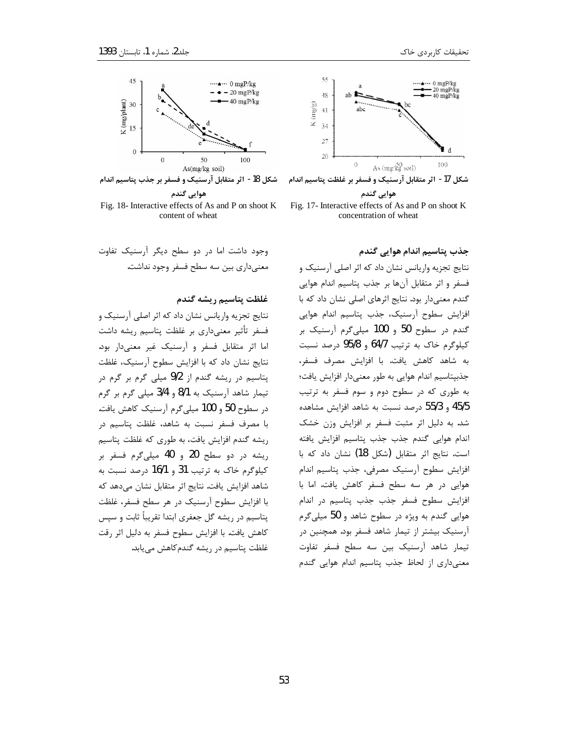

شکل 17- اثر متقابل آرسنیک و فسفر بر غلظت پتاسیم اندام

هوايي گندم Fig. 17- Interactive effects of As and P on shoot K concentration of wheat

جذب يتاسيم اندام هوايي گندم

نتایج تجزیه واریانس نشان داد که اثر اصلی آرسنیک و فسفر و اثر متقابل آنها بر جذب پتاسیم اندام هوایی گندم معنی دار بود. نتایج اثرهای اصلی نشان داد که با افزایش سطوح آرسنیک، جذب پتاسیم اندام هوایی گندم در سطوح 50 و 100 میلی گرم آرسنیک بر كيلوگرم خاك به ترتيب 64/7 و 95/8 درصد نسبت به شاهد كاهش يافت. با افزايش مصرف فسفر، جذبپتاسیم اندام هوایی به طور معنیدار افزایش یافت؛ به طوری که در سطوح دوم و سوم فسفر به ترتیب 45/5 و 55/3 درصد نسبت به شاهد افزايش مشاهده شد. به دلیل اثر مثبت فسفر بر افزایش وزن خشک اندام هوايي گندم جذب جذب پتاسيم افزايش يافته است. نتايج اثر متقابل (شكل 18) نشان داد كه با افزایش سطوح آرسنیک مصرفی، جذب پتاسیم اندام هوایی در هر سه سطح فسفر کاهش یافت. اما با افزايش سطوح فسفر جذب جذب پتاسيم در اندام هوایی گندم به ویژه در سطوح شاهد و 50 میلی گرم آرسنیک بیشتر از تیمار شاهد فسفر بود. همچنین در تیمار شاهد آرسنیک بین سه سطح فسفر تفاوت معنی داری از لحاظ جذب پتاسیم اندام هوایی گندم



شكل 18- اثر متقابل آرسنيك و فسفر بر جذب پتاسيم اندام

هوايي گندم Fig. 18- Interactive effects of As and P on shoot K content of wheat

وجود داشت اما در دو سطح دیگر آرسنیک تفاوت معنے داری بین سه سطح فسفر وجود نداشت.

غلظت يتاسيم ريشه گندم

نتايج تجزيه واريانس نشان داد كه اثر اصلي آرسنيك و فسفر تأثیر معنیداری بر غلظت پتاسیم ریشه داشت اما اثر متقابل فسفر و آرسنیک غیر معنیدار بود. نتايج نشان داد كه با افزايش سطوح آرسنيك، غلظت پتاسیم در ریشه گندم از 9/2 میلی گرم بر گرم در تیمار شاهد آرسنیک به 8/1 و 3/4 میلی گرم بر گرم در سطوح 50 و 100 میلی گرم آرسنیک کاهش یافت. با مصرف فسفر نسبت به شاهد، غلظت پتاسیم در ریشه گندم افزایش یافت، به طوری که غلظت پتاسیم ریشه در دو سطح 20 و 40 میلیگرم فسفر بر کیلوگرم خاک به ترتیب 31 و 16/1 درصد نسبت به شاهد افزایش یافت. نتایج اثر متقابل نشان میدهد که با افزایش سطوح آرسنیک در هر سطح فسفر، غلظت پتاسیم در ریشه گل جعفری ابتدا تقریباً ثابت و سپس كاهش يافت. با افزايش سطوح فسفر به دليل اثر رقت غلظت پتاسیم در ریشه گندم کاهش می یابد.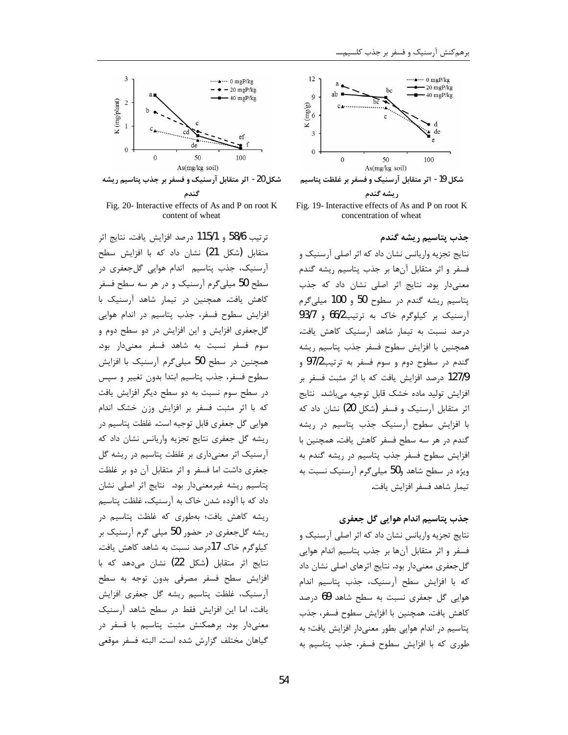



ريشه گندم

Fig. 19- Interactive effects of As and P on root K concentration of wheat

جذب يتاسىم رىشە گندم

نتایج تجزیه واریانس نشان داد که اثر اصلی آرسنیک و فسفر و اثر متقابل آنها بر جذب پتاسیم ریشه گندم معنىدار بود. نتايج اثر اصلى نشان داد كه جذب پتاسيم ريشه گندم در سطوح 50 و 100 ميلي گرم آرسنیک بر کیلوگرم خاک به ترتیب66/2 و 93/7 درصد نسبت به تیمار شاهد آرسنیک کاهش یافت. همچنین با افزایش سطوح فسفر جذب پتاسیم ریشه گندم در سطوح دوم و سوم فسفر به ترتیب97/2 و 127/9 درصد افزایش یافت که با اثر مثبت فسفر بر افزایش تولید ماده خشک قابل توجیه می،باشد. نتایج اثر متقابل آرسنیک و فسفر (شکل 20) نشان داد که با افزایش سطوح آرسنیک جذب پتاسیم در ریشه گندم در هر سه سطح فسفر کاهش یافت. همچنین با افزایش سطوح فسفر جذب پتاسیم در ریشه گندم به ویژه در سطح شاهد و50 میلی گرم آرسنیک نسبت به تيمار شاهد فسفر افزايش يافت.

#### جذب پتاسیم اندام هوایی گل جعفری

نتايج تجزيه واريانس نشان داد كه اثر اصلى آرسنيك و فسفر و اثر متقابل آنها بر جذب پتاسیم اندام هوایی گلجعفری معنیدار بود. نتایج اثرهای اصلی نشان داد که با افزایش سطح آرسنیک، جذب پتاسیم اندام هوایی گل جعفری نسبت به سطح شاهد 69 درصد كاهش يافت. همچنين با افزايش سطوح فسفر، جذب یتاسیم در اندام هوایی بطور معنیدار افزایش یافت؛ به طوری که با افزایش سطوح فسفر، جذب پتاسیم به



شکل 20- اثر متقابل آرسنیک و فسفر بر جذب پتاسیم ریشه گندم

Fig. 20- Interactive effects of As and P on root K content of wheat

ترتيب 58/6 و 115/1 درصد افزايش يافت. نتايج اثر متقابل (شکل 21) نشان داد که با افزایش سطح آرسنیک، جذب پتاسیم اندام هوایی گلجعفری در سطح 50 میلیگرم آرسنیک و در هر سه سطح فسفر كاهش يافت. همچنين در تيمار شاهد آرسنيک با افزایش سطوح فسفر، جذب پتاسیم در اندام هوایی گلجعفری افزایش و این افزایش در دو سطح دوم و سوم فسفر نسبت به شاهد فسفر معنىدار بود. همچنین در سطح 50 میلی گرم آرسنیک با افزایش سطوح فسفر، جذب پتاسیم ابتدا بدون تغییر و سپس در سطح سوم نسبت به دو سطح دیگر افزایش یافت که با اثر مثبت فسفر بر افزایش وزن خشک اندام هوايي گل جعفري قابل توجيه است. غلظت پتاسيم در ریشه گل جعفری نتایج تجزیه واریانس نشان داد که آرسنیک اثر معنیداری بر غلظت پتاسیم در ریشه گل جعفري داشت اما فسفر و اثر متقابل آن دو بر غلظت پتاسیم ریشه غیرمعنیدار بود. نتایج اثر اصلی نشان داد که با آلوده شدن خاک به آرسنیک، غلظت پتاسیم ریشه کاهش یافت؛ بهطوری که غلظت پتاسیم در ریشه گل جعفری در حضور 50 میلی گرم آرسنیک بر كيلوگرم خاك 17درصد نسبت به شاهد كاهش يافت. نتايج اثر متقابل (شكل 22) نشان مىدهد كه با افزایش سطح فسفر مصرفی بدون توجه به سطح آرسنیک، غلظت پتاسیم ریشه گل جعفری افزایش یافت، اما این افزایش فقط در سطح شاهد آرسنیک معنیدار بود. برهمکنش مثبت پتاسیم با فسفر در گیاهان مختلف گزارش شده است. البته فسفر موقعی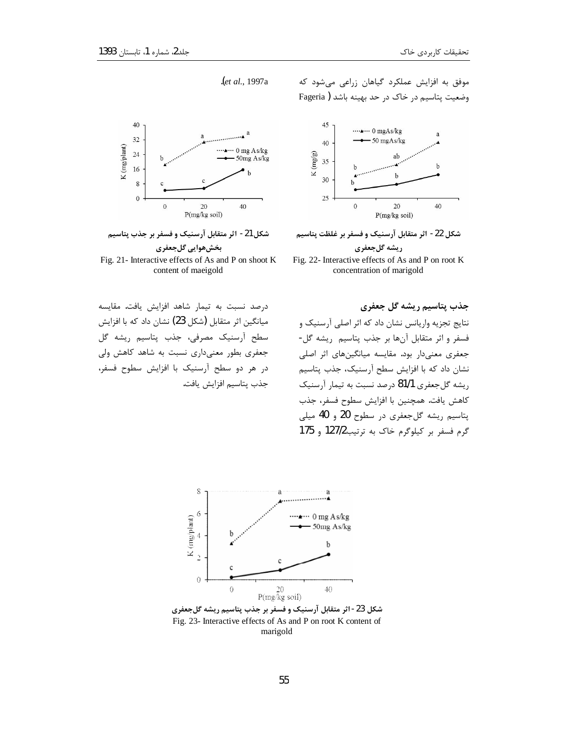40

 $32$ 

 $24$ 

موفق به افزایش عملکرد گیاهان زراعی میشود که وضعیت پتاسیم در خاک در حد بهینه باشد ( Fageria



شكل 22- اثر متقابل آرسنيك و فسفر بر غلظت پتاسيم ريشه گلجعفري

Fig. 22- Interactive effects of As and P on root K concentration of marigold

K (mg/plant) 16  $\mathbf{1}$  $\,$  8  $\,$  $\mathbf{0}$  $\mathbf{0}$ 20 40 P(mg/kg soil) شکل 21- اثر متقابل آرسنیک و فسفر بر جذب پتاسیم

let al., 1997a.

…… 0 mg As/kg

50mg As/kg

بخشهوايي گلجعفري Fig. 21- Interactive effects of As and P on shoot K content of maeigold

درصد نسبت به تيمار شاهد افزايش يافت. مقايسه میانگین اثر متقابل (شکل 23) نشان داد که با افزایش سطح آرسنیک مصرفی، جذب پتاسیم ریشه گل جعفری بطور معنیداری نسبت به شاهد کاهش ولی در هر دو سطح آرسنیک با افزایش سطوح فسفر، جذب يتاسيم افزايش يافت. جذب پتاسیم ریشه گل جعفری

نتايج تجزيه واريانس نشان داد كه اثر اصلي آرسنيك و فسفر و اثر متقابل آنها بر جذب پتاسیم ریشه گل-جعفری معنیدار بود. مقایسه میانگینهای اثر اصلی نشان داد که با افزایش سطح آرسنیک، جذب پتاسیم ریشه گلجعفری 81/1 درصد نسبت به تیمار آرسنیک كاهش يافت. همچنين با افزايش سطوح فسفر، جذب پتاسيم ريشه گل جعفري در سطوح 20 و 40 ميلي گرم فسفر بر كيلوگرم خاك به ترتيب127/2 و 175



شکل 23- اثر متقابل آرسنیک و فسفر بر جذب پتاسیم ریشه گلجعفری Fig. 23- Interactive effects of As and P on root K content of marigold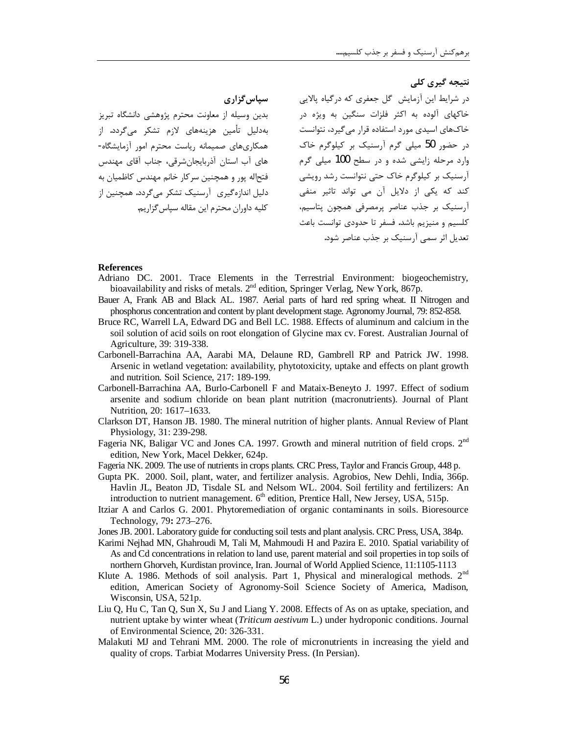سياس گزاري بدین وسیله از معاونت محترم پژوهشی دانشگاه تبریز بەدلیل تأمین هزینەهای لازم تشکر می $\xi$ دد. از همکاریهای صمیمانه ریاست محترم امور آزمایشگاه-های آب استان آذربایجانشرقی، جناب آقای مهندس فتحاله پور و همچنین سرکار خانم مهندس کاظمیان به دلیل اندازهگیری آرسنیک تشکر میگردد. همچنین از كليه داوران محترم اين مقاله سپاس گزاريم.

نتیجه گیری کلی در شرایط این آزمایش گل جعفری که درگیاه یالایے, خاکهای آلوده به اکثر فلزات سنگین به ویژه در خاکهای اسیدی مورد استفاده قرار می گیرد، نتوانست در حضور 50 میلی گرم آرسنیک بر کیلوگرم خاک وارد مرحله زایشی شده و در سطح 100 میلی گرم آرسنیک بر کیلوگرم خاک حتی نتوانست رشد رویشی کند که یکی از دلایل آن می تواند تاثیر منفی آرسنیک بر جذب عناصر پرمصرفی همچون پتاسیم، كلسيم و منيزيم باشد. فسفر تا حدودي توانست باعث تعدیل اثر سمی آرسنیک بر جذب عناصر شود.

#### **References**

- Adriano DC. 2001. Trace Elements in the Terrestrial Environment: biogeochemistry, bioavailability and risks of metals. 2<sup>nd</sup> edition, Springer Verlag, New York, 867p.
- Bauer A, Frank AB and Black AL. 1987. Aerial parts of hard red spring wheat. II Nitrogen and phosphorus concentration and content by plant development stage. Agronomy Journal, 79: 852-858.
- Bruce RC, Warrell LA, Edward DG and Bell LC. 1988. Effects of aluminum and calcium in the soil solution of acid soils on root elongation of Glycine max cv. Forest. Australian Journal of Agriculture, 39: 319-338.
- Carbonell-Barrachina AA, Aarabi MA, Delaune RD, Gambrell RP and Patrick JW. 1998. Arsenic in wetland vegetation: availability, phytotoxicity, uptake and effects on plant growth and nutrition. Soil Science, 217: 189-199.
- Carbonell-Barrachina AA, Burlo-Carbonell F and Mataix-Beneyto J. 1997. Effect of sodium arsenite and sodium chloride on bean plant nutrition (macronutrients). Journal of Plant Nutrition, 20: 1617-1633.
- Clarkson DT, Hanson JB. 1980. The mineral nutrition of higher plants. Annual Review of Plant Physiology, 31: 239-298.
- Fageria NK, Baligar VC and Jones CA. 1997. Growth and mineral nutrition of field crops. 2<sup>nd</sup> edition, New York, Macel Dekker, 624p.
- Fageria NK, 2009. The use of nutrients in crops plants. CRC Press, Taylor and Francis Group, 448 p.
- Gupta PK. 2000. Soil, plant, water, and fertilizer analysis. Agrobios, New Dehli, India, 366p. Havlin JL, Beaton JD, Tisdale SL and Nelsom WL. 2004. Soil fertility and fertilizers: An introduction to nutrient management. 6<sup>th</sup> edition, Prentice Hall, New Jersey, USA, 515p.
- Itziar A and Carlos G. 2001. Phytoremediation of organic contaminants in soils. Bioresource Technology, 79: 273-276.
- Jones JB. 2001. Laboratory guide for conducting soil tests and plant analysis. CRC Press, USA, 384p.
- Karimi Nejhad MN, Ghahroudi M, Tali M, Mahmoudi H and Pazira E. 2010. Spatial variability of As and Cd concentrations in relation to land use, parent material and soil properties in top soils of northern Ghorveh, Kurdistan province, Iran. Journal of World Applied Science, 11:1105-1113
- Klute A. 1986. Methods of soil analysis. Part 1, Physical and mineralogical methods. 2<sup>nd</sup> edition, American Society of Agronomy-Soil Science Society of America, Madison, Wisconsin, USA, 521p.
- Liu Q, Hu C, Tan Q, Sun X, Su J and Liang Y. 2008. Effects of As on as uptake, speciation, and nutrient uptake by winter wheat (*Triticum aestivum L.*) under hydroponic conditions. Journal of Environmental Science, 20: 326-331.
- Malakuti MJ and Tehrani MM. 2000. The role of micronutrients in increasing the yield and quality of crops. Tarbiat Modarres University Press. (In Persian).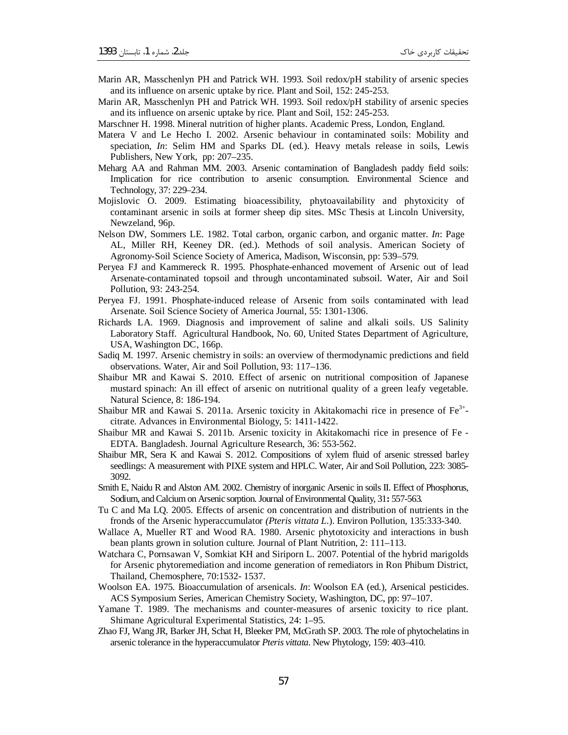- Marin AR, Masschenlyn PH and Patrick WH. 1993. Soil redox/pH stability of arsenic species and its influence on arsenic uptake by rice. Plant and Soil, 152: 245-253.
- Marin AR, Masschenlyn PH and Patrick WH. 1993. Soil redox/pH stability of arsenic species and its influence on arsenic uptake by rice. Plant and Soil, 152: 245-253.
- Marschner H. 1998. Mineral nutrition of higher plants. Academic Press, London, England.
- Matera V and Le Hecho I. 2002. Arsenic behaviour in contaminated soils: Mobility and speciation, *In*: Selim HM and Sparks DL (ed.). Heavy metals release in soils, Lewis Publishers, New York, pp: 207–235.
- Meharg AA and Rahman MM. 2003. Arsenic contamination of Bangladesh paddy field soils: Implication for rice contribution to arsenic consumption. Environmental Science and Technology, 37: 229–234.
- Mojislovic O. 2009. Estimating bioacessibility, phytoavailability and phytoxicity of contaminant arsenic in soils at former sheep dip sites. MSc Thesis at Lincoln University, Newzeland, 96p.
- Nelson DW, Sommers LE. 1982. Total carbon, organic carbon, and organic matter. *In*: Page AL, Miller RH, Keeney DR. (ed.). Methods of soil analysis. American Society of Agronomy-Soil Science Society of America, Madison, Wisconsin, pp: 539–579.
- Peryea FJ and Kammereck R. 1995. Phosphate-enhanced movement of Arsenic out of lead Arsenate-contaminated topsoil and through uncontaminated subsoil. Water, Air and Soil Pollution, 93: 243-254.
- Peryea FJ. 1991. Phosphate-induced release of Arsenic from soils contaminated with lead Arsenate. Soil Science Society of America Journal, 55: 1301-1306.
- Richards LA. 1969. Diagnosis and improvement of saline and alkali soils. US Salinity Laboratory Staff. Agricultural Handbook, No. 60, United States Department of Agriculture, USA, Washington DC, 166p.
- Sadiq M. 1997. Arsenic chemistry in soils: an overview of thermodynamic predictions and field observations. Water, Air and Soil Pollution, 93: 117–136.
- Shaibur MR and Kawai S. 2010. Effect of arsenic on nutritional composition of Japanese mustard spinach: An ill effect of arsenic on nutritional quality of a green leafy vegetable. Natural Science, 8: 186-194.
- Shaibur MR and Kawai S. 2011a. Arsenic toxicity in Akitakomachi rice in presence of  $Fe<sup>3+</sup>$ citrate. Advances in Environmental Biology, 5: 1411-1422.
- Shaibur MR and Kawai S. 2011b. Arsenic toxicity in Akitakomachi rice in presence of Fe EDTA. Bangladesh. Journal Agriculture Research, 36: 553-562.
- Shaibur MR, Sera K and Kawai S. 2012. Compositions of xylem fluid of arsenic stressed barley seedlings: A measurement with PIXE system and HPLC. Water, Air and Soil Pollution, 223: 3085- 3092.
- Smith E, Naidu R and Alston AM. 2002. Chemistry of inorganic Arsenic in soils II. Effect of Phosphorus, Sodium, and Calcium on Arsenic sorption. Journal of Environmental Quality, 31**:** 557-563.
- Tu C and Ma LQ. 2005. Effects of arsenic on concentration and distribution of nutrients in the fronds of the Arsenic hyperaccumulator *(Pteris vittata L*.). Environ Pollution, 135:333-340.
- Wallace A, Mueller RT and Wood RA. 1980. Arsenic phytotoxicity and interactions in bush bean plants grown in solution culture. Journal of Plant Nutrition, 2: 111–113.
- Watchara C, Pornsawan V, Somkiat KH and Siriporn L. 2007. Potential of the hybrid marigolds for Arsenic phytoremediation and income generation of remediators in Ron Phibum District, Thailand, Chemosphere, 70:1532- 1537.
- Woolson EA. 1975. Bioaccumulation of arsenicals. *In*: Woolson EA (ed.), Arsenical pesticides. ACS Symposium Series, American Chemistry Society, Washington, DC, pp: 97–107.
- Yamane T. 1989. The mechanisms and counter-measures of arsenic toxicity to rice plant. Shimane Agricultural Experimental Statistics, 24: 1–95.
- Zhao FJ, Wang JR, Barker JH, Schat H, Bleeker PM, McGrath SP. 2003. The role of phytochelatins in arsenic tolerance in the hyperaccumulator *Pteris vittata*. New Phytology, 159: 403–410.